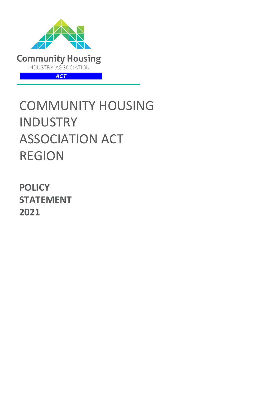

# COMMUNITY HOUSING **INDUSTRY** ASSOCIATION ACT REGION

**POLICY STATEMENT 2021**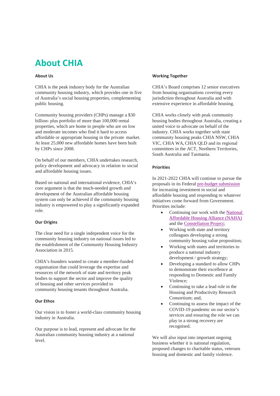# **About CHIA**

#### **About Us**

CHIA is the peak industry body for the Australian community housing industry, which provides one in five of Australia's social housing properties, complementing public housing.

Community housing providers (CHPs) manage a \$30 billion- plus portfolio of more than 100,000 rental properties, which are home to people who are on low and moderate incomes who find it hard to access affordable or appropriate housing in the private market. At least 25,000 new affordable homes have been built by CHPs since 2008.

On behalf of our members, CHIA undertakes research, policy development and advocacy in relation to social and affordable housing issues.

Based on national and international evidence, CHIA's core argument is that the much-needed growth and development of the Australian affordable housing system can only be achieved if the community housing industry is empowered to play a significantly expanded role.

#### **Our Origins**

The clear need for a single independent voice for the community housing industry on national issues led to the establishment of the Community Housing Industry Association in 2015.

CHIA's founders wanted to create a member-funded organisation that could leverage the expertise and resources of the network of state and territory peak bodies to support the sector and improve the quality of housing and other services provided to community housing tenants throughout Australia.

### **Our Ethos**

Our vision is to foster a world-class community housing industry in Australia.

Our purpose is to lead, represent and advocate for the Australian community housing industry at a national level.

### **Working Together**

CHIA's Board comprises 12 senior executives from housing organisations covering every jurisdiction throughout Australia and with extensive experience in affordable housing.

CHIA works closely with peak community housing bodies throughout Australia, creating a united voice to advocate on behalf of the industry. CHIA works together with state community housing peaks CHIA NSW, CHIA VIC, CHIA WA, CHIA QLD and its regional committees in the ACT, Northern Territories, South Australia and Tasmania.

### **Priorities**

In 2021-2022 CHIA will continue to pursue the proposals in its Federa[l pre-budget submission](https://www.communityhousing.com.au/wp-content/uploads/2021/05/2021-CHIA-Federal-Budget-submission-FINAL.pdf?x70275) for increasing investment in social and affordable housing and responding to whatever initiatives come forward from Government. Priorities include:

- Continuing our work with the National [Affordable Housing Alliance \(NAHA\)](https://www.communityhousing.com.au/wp-content/uploads/2020/10/Media-Statement-National-Affordable-Housing-Alliance-established-021020.pdf?x70275) and th[e Constellation Project;](https://theconstellationproject.com.au/)
- Working with state and territory colleagues developing a strong community housing value proposition;
- Working with states and territories to produce a national industry development / growth strategy;
- Developing a standard to allow CHPs to demonstrate their excellence at responding to Domestic and Family Violence;
- Continuing to take a lead role in the Housing and Productivity Research Consortium; and,
- Continuing to assess the impact of the COVID-19 pandemic on our sector's services and ensuring the role we can play in a strong recovery are recognised.

We will also input into important ongoing business whether it is national regulation, proposed changes to charitable status, veterans housing and domestic and family violence.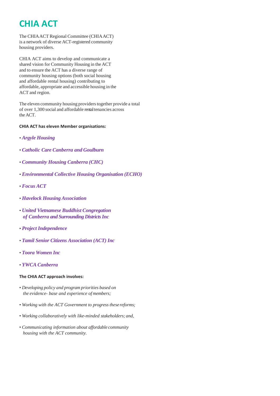# **CHIA ACT**

The CHIAACT Regional Committee (CHIAACT) is a network of diverse ACT-registered community housing providers.

CHIA ACT aims to develop and communicate a shared vision for Community Housing in the ACT and to ensure the ACT has a diverse range of community housing options (both social housing and affordable rental housing) contributing to affordable, appropriate and accessible housing in the ACT and region.

The eleven community housing providers together provide a total of over 1,300 social and affordable rental tenancies across the ACT.

### **CHIA ACT has eleven Member organisations:**

- *• Argyle Housing*
- *• Catholic Care Canberra and Goulburn*
- *• Community Housing Canberra (CHC)*
- *• Environmental Collective Housing Organisation (ECHO)*
- *• Focus ACT*
- *• Havelock Housing Association*
- *• United Vietnamese Buddhist Congregation of Canberra and Surrounding Districts Inc*
- *• Project Independence*
- *• Tamil Senior Citizens Association (ACT) Inc*
- *• Toora Women Inc*
- *• YWCA Canberra*

### **The CHIA ACT approach involves:**

- *• Developing policy and program priorities based on the evidence- base and experience of members;*
- Working with the ACT Government to progress these reforms;
- *• Working collaboratively with like-minded stakeholders; and,*
- *• Communicating information about affordable community housing with the ACT community.*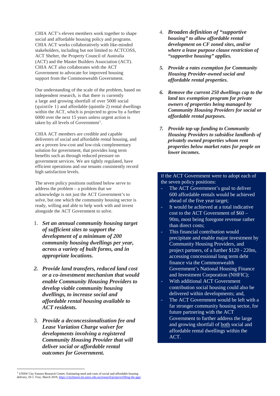CHIA ACT's eleven members work together to shape social and affordable housing policy and programs. CHIA ACT works collaboratively with like-minded stakeholders, including but not limited to ACTCOSS, ACT Shelter, the Property Council of Australia (ACT) and the Master Builders Association (ACT). CHIA ACT also collaborates with the ACT Government to advocate for improved housing support from the Commonwealth Government.

Our understanding of the scale of the problem, based on independent research, is that there is currently a large and growing shortfall of over 5000 social (quintile 1) and affordable (quintile 2) rental dwellings within the ACT, which is projected to grow by a further 6000 over the next 15 years unless urgent action is taken by all levels of Government<sup>[1](#page-3-0)</sup>.

CHIA ACT members are credible and capable deliverers of social and affordable rental housing, and are a proven low-cost and low-risk complementary solution for government, that provides long term benefits such as through reduced pressure on government services. We are tightly regulated, have efficient operations and our tenants consistently record high satisfaction levels.

The seven policy positions outlined below serve to address the problem – a problem that we acknowledge is not just the ACT Government's to solve, but one which the community housing sector is ready, willing and able to help work with and invest alongside the ACT Government to solve.

- 1. *Set an annual community housing target of sufficient sites to support the development of a minimum of 200 community housing dwellings per year, across a variety of built forms, and in appropriate locations.*
- *2. Provide land transfers, reduced land cost or a co-investment mechanism that would enable Community Housing Providers to develop viable community housing dwellings, to increase social and affordable rental housing available to ACT residents.*
- 3. *Provide a deconcessionalisation fee and Lease Variation Charge waiver for developments involving a registered Community Housing Provider that will deliver social or affordable rental outcomes for Government.*
- 4. *Broaden definition of "supportive housing" to allow affordable rental development on CF zoned sites, and/or where a lease purpose clause restriction of "supportive housing" applies.*
- *5. Provide a rates exemption for Community Housing Provider-owned social and affordable rental properties.*
- *6. Remove the current 250 dwellings cap to the land tax exemption program for private owners of properties being managed by Community Housing Providers for social or affordable rental purposes.*
- *7. Provide top-up funding to Community Housing Providers to subsidise landlords of privately owned properties whom rent properties below market rates for people on lower incomes.*

### If the ACT Government were to adopt each of the seven policy positions:

- The ACT Government's goal to deliver 600 affordable rentals would be achieved ahead of the five year target;
- It would be achieved at a total indicative cost to the ACT Government of \$60 – 90m, most being foregone revenue rather than direct costs;
- This financial contribution would precipitate and enable major investment by Community Housing Providers, and project partners, of a further \$120 - 220m, accessing concessional long term debt finance via the Commonwealth Government's National Housing Finance and Investment Corporation (NHFIC);
- With additional ACT Government contribution social housing could also be delivered within developments; and,
- The ACT Government would be left with a far stronger community housing sector, for future partnering with the ACT Government to further address the large and growing shortfall of both social and affordable rental dwellings within the ACT.

<span id="page-3-0"></span><sup>&</sup>lt;sup>1</sup> UNSW City Futures Research Centre, Estimating need and costs of social and affordable housing delivery, Dr L Troy, March 2019, https://cityfutures.be.unsw.edu.au/research/projects/filling-the-g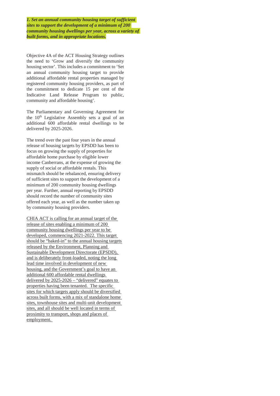*1. Set an annual community housing target of sufficient sites to support the development of a minimum of 200 community housing dwellings per year, across a variety of built forms, and in appropriate locations.*

Objective 4A of the ACT Housing Strategy outlines the need to 'Grow and diversify the community housing sector'. This includes a commitment to 'Set an annual community housing target to provide additional affordable rental properties managed by registered community housing providers, as part of the commitment to dedicate 15 per cent of the Indicative Land Release Program to public, community and affordable housing'.

The Parliamentary and Governing Agreement for the 10<sup>th</sup> Legislative Assembly sets a goal of an additional 600 affordable rental dwellings to be delivered by 2025-2026.

The trend over the past four years in the annual release of housing targets by EPSDD has been to focus on growing the supply of properties for affordable home purchase by eligible lower income Canberrans, at the expense of growing the supply of social or affordable rentals. This mismatch should be rebalanced, ensuring delivery of sufficient sites to support the development of a minimum of 200 community housing dwellings per year. Further, annual reporting by EPSDD should record the number of community sites offered each year, as well as the number taken up by community housing providers.

CHIA ACT is calling for an annual target of the release of sites enabling a minimum of 200 community housing dwellings per year to be developed, commencing 2021-2022. This target should be "baked-in" to the annual housing targets released by the Environment, Planning and Sustainable Development Directorate (EPSDD), and is deliberately front-loaded, noting the long lead time involved in development of new housing, and the Government's goal to have an additional 600 affordable rental dwellings delivered by 2025-2026 – "delivered" equates to properties having been tenanted. The specific sites for which targets apply should be diversified across built forms, with a mix of standalone home sites, townhouse sites and multi-unit development sites, and all should be well located in terms of proximity to transport, shops and places of employment.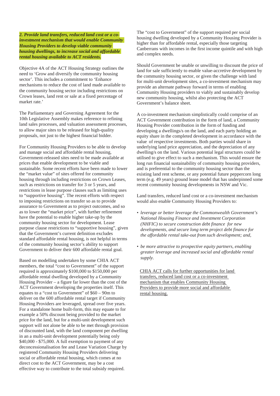*2. Provide land transfers, reduced land cost or a coinvestment mechanism that would enable Community Housing Providers to develop viable community housing dwellings, to increase social and affordable rental housing available to ACT residents.*

Objective 4A of the ACT Housing Strategy outlines the need to 'Grow and diversify the community housing sector'. This includes a commitment to 'Enhance mechanisms to reduce the cost of land made available to the community housing sector including restrictions on Crown leases, land rent or sale at a fixed percentage of market rate.'

The Parliamentary and Governing Agreement for the 10th Legislative Assembly makes reference to refining land sales processes, and valuation assessment processes, to allow major sites to be released for high-quality proposals, not just to the highest financial bidder.

For Community Housing Providers to be able to develop and manage social and affordable rental housing, Government-released sites need to be made available at prices that enable development to be viable and sustainable. Some recent efforts have been made to lower the "market value" of sites offered for community housing through including restrictions on Crown Leases, such as restrictions on transfer for 3 or 5 years, and restrictions in lease purpose clauses such as limiting uses to "supportive housing". The recent efforts with respect to imposing restrictions on transfer so as to provide assurance to Government as to project outcomes, and so as to lower the "market price", with further refinement have the potential to enable higher take-up by the community housing sector for development. Lease purpose clause restrictions to "supportive housing", given that the Government's current definition excludes standard affordable rental housing, is not helpful in terms of the community housing sector's ability to support Government to deliver their 600 affordable rental goal.

Based on modelling undertaken by some CHIA ACT members, the total "cost to Government" of the support required is approximately \$100,000 to \$150,000 per affordable rental dwelling developed by a Community Housing Provider – a figure far lower than the cost of the ACT Government developing the properties itself. This equates to a "cost to Government" of \$60 – 90m to deliver on the 600 affordable rental target if Community Housing Providers are leveraged, spread over five years. For a standalone home built-form, this may equate to for example a 50% discount being provided to the market price for the land, but for a multi-unit development such support will not alone be able to be met through provision of discounted land, with the land component per dwelling in an a multi-unit development potentially being only \$40,000 - \$75,000. A full exemption to payment of any deconcessionalisation fee and Lease Variation Charge by registered Community Housing Providers delivering social or affordable rental housing, which comes at no direct cost to the ACT Government, may be a cost effective way to contribute to the total subsidy required.

The "cost to Government" of the support required per social housing dwelling developed by a Community Housing Provider is higher than for affordable rental, especially those targeting Canberrans with incomes in the first income quintile and with high and complex needs.

Should Government be unable or unwilling to discount the price of land for sale sufficiently to enable value-accretive development by the community housing sector, or given the challenge with land for multi-unit development sites, a co-investment mechanism may provide an alternate pathway forward in terms of enabling Community Housing providers to viably and sustainably develop new community housing, whilst also protecting the ACT Government's balance sheet.

A co-investment mechanism simplistically could comprise of an ACT Government contribution in the form of land, a Community Housing Provider contribution in the form of funding and developing a dwellings/s on the land, and each party holding an equity share in the completed development in accordance with the value of respective investments. Both parties would share in underlying land price appreciation, and the depreciation of any dwelling/s on the land. Various potential legal structures could be utilised to give effect to such a mechanism. This would ensure the long run financial sustainability of community housing providers, and is preferential to the community housing sector than the existing land rent scheme, or any potential future peppercorn long term (e.g. 49 years) ground lease model that has underpinned some recent community housing developments in NSW and Vic.

Land transfers, reduced land cost or a co-investment mechanism would also enable Community Housing Providers to:

- *• leverage or better leverage the Commonwealth Government's National Housing Finance and Investment Corporation (NHFIC) to secure construction debt finance for new developments, and secure long term project debt finance for the affordable rental take-out from such development; and,*
- *• be more attractive to prospective equity partners, enabling greater leverage and increased social and affordable rental supply.*

CHIA ACT calls for further opportunities for land transfers, reduced land cost or a co-investment mechanism that enables Community Housing Providers to provide more social and affordable rental housing.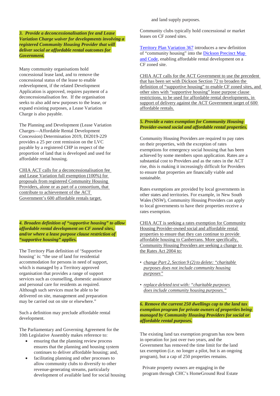and land supply purposes.

*3. Provide a deconcessionalisation fee and Lease Variation Charge waiver for developments involving a registered Community Housing Provider that will deliver social or affordable rental outcomes for Government.*

Many community organisations hold concessional lease land, and to remove the concessional status of the lease to enable redevelopment, if the related Development Application is approved, requires payment of a deconcessionalisation fee. If the organisation seeks to also add new purposes to the lease, or expand existing purposes, a Lease Variation Charge is also payable.

The Planning and Development (Lease Variation Charges—Affordable Rental Development Concession) Determination 2019, DI2019-229 provides a 25 per cent remission on the LVC payable by a registered CHP in respect of the proportion of land that is developed and used for affordable rental housing.

CHIA ACT calls for a deconcessionalisation fee and Lease Variation full exemption (100%) for proposals from registered Community Housing Providers, alone or as part of a consortium, that contribute to achievement of the ACT Government's 600 affordable rentals target.

*4. Broaden definition of "supportive housing" to allow affordable rental development on CF zoned sites, and/or where a lease purpose clause restriction of "supportive housing" applies.*

The Territory Plan definition of 'Supportive housing' is: "the use of land for residential accommodation for persons in need of support, which is managed by a Territory approved organisation that provides a range of support services such as counselling, domestic assistance and personal care for residents as required. Although such services must be able to be delivered on site, management and preparation may be carried out on site or elsewhere."

Such a definition may preclude affordable rental development.

The Parliamentary and Governing Agreement for the 10th Legislative Assembly makes reference to:

- ensuring that the planning review process ensures that the planning and housing system continues to deliver affordable housing; and,
- facilitating planning and other processes to allow community clubs to diversify to other revenue-generating streams, particularly development of available land for social housing

Community clubs typically hold concessional or market leases on CF zoned sites.

[Territory Plan Variation 367](https://www.legislation.act.gov.au/View/ni/2020-83/20200211-73235/PDF/2020-83.PDF) introduces a new definition of "community housing" into the Dickson Precinct Map [and Code, enabling affordable rental development on a](https://www.legislation.act.gov.au/DownloadFile/ni/2008-27/copy/134861/PDF/2008-27.PDF)  [CF zoned site.](https://www.legislation.act.gov.au/DownloadFile/ni/2008-27/copy/134861/PDF/2008-27.PDF) 

CHIA ACT calls for the ACT Government to use the precedent that has been set with Dickson Section 72 to broaden the definition of "supportive housing" to enable CF zoned sites, and other sites with "supportive housing" lease purpose clause restrictions, to be used for affordable rental developments, in support of delivery against the ACT Government target of 600 affordable rentals.

## *5. Provide a rates exemption for Community Housing Provider-owned social and affordable rental properties.*

Community Housing Providers are required to pay rates on their properties, with the exception of rates exemptions for emergency social housing that has been achieved by some members upon application. Rates are a substantial cost to Providers and as the rates in the ACT rise, this is making it increasingly difficult for Providers to ensure that properties are financially viable and sustainable.

Rates exemptions are provided by local governments in other states and territories. For example, in New South Wales (NSW), Community Housing Providers can apply to local governments to have their properties receive a rates exemption.

CHIA ACT is seeking a rates exemption for Community Housing Provider-owned social and affordable rental properties to ensure that they can continue to provide affordable housing to Canberrans. More specifically, Community Housing Providers are seeking a change to the Rates Act 2004 to:

- *change Part 2, Section 9 (2) to delete: "charitable purposes does not include community housing purposes"*
- *• replace deleted text with: "charitable purposes doesinclude community housing purposes."*

### *6. Remove the current 250 dwellings cap to the land tax exemption program for private owners of properties being managed by Community Housing Providers for social or affordable rental purposes.*

The existing land tax exemption program has now been in operation for just over two years, and the Government has removed the time limit for the land tax exemption (i.e. no longer a pilot, but is an ongoing program), but a cap of 250 properties remains.

Private property owners are engaging in the program through CHC's HomeGround Real Estate